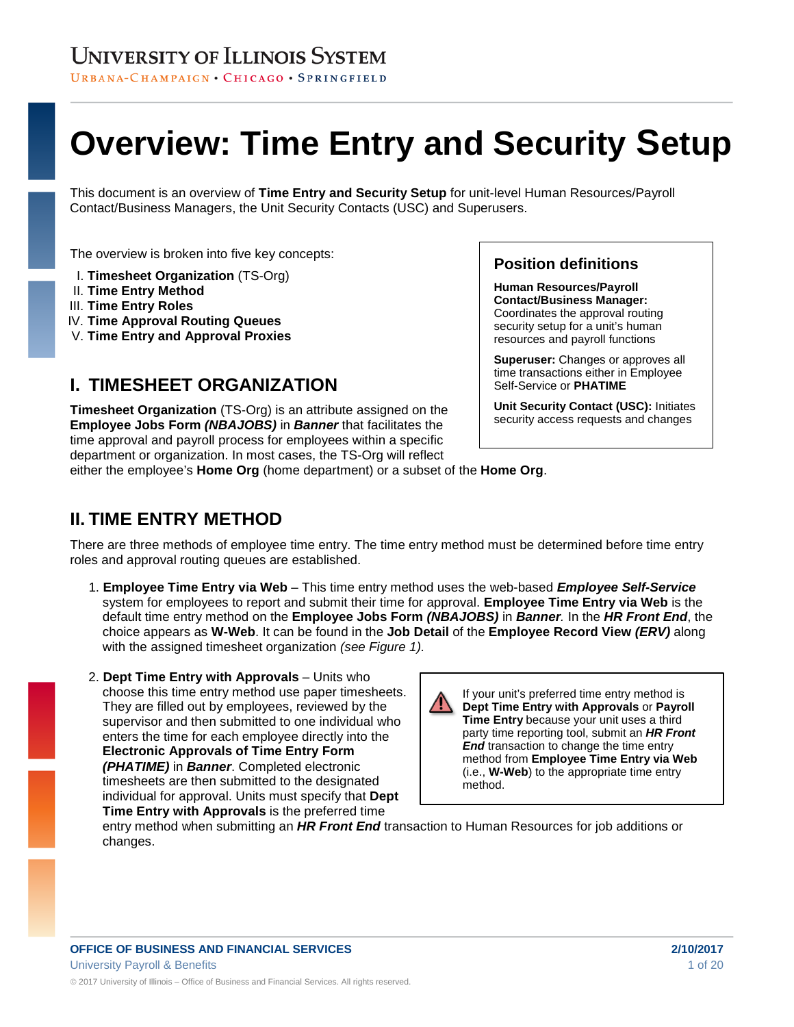URBANA-CHAMPAIGN · CHICAGO · SPRINGFIELD

# **Overview: Time Entry and Security Setup**

This document is an overview of **Time Entry and Security Setup** for unit-level Human Resources/Payroll Contact/Business Managers, the Unit Security Contacts (USC) and Superusers.

The overview is broken into five key concepts:

- I. **Timesheet Organization** (TS-Org)
- II. **Time Entry Method**
- III. **Time Entry Roles**
- IV. **Time Approval Routing Queues**
- V. **Time Entry and Approval Proxies**

### **I. TIMESHEET ORGANIZATION**

**Timesheet Organization** (TS-Org) is an attribute assigned on the **Employee Jobs Form** *(NBAJOBS)* in *Banner* that facilitates the time approval and payroll process for employees within a specific department or organization. In most cases, the TS-Org will reflect either the employee's **Home Org** (home department) or a subset of the **Home Org**.

#### **Position definitions**

**Human Resources/Payroll Contact/Business Manager:**  Coordinates the approval routing security setup for a unit's human resources and payroll functions

**Superuser:** Changes or approves all time transactions either in Employee Self-Service or **PHATIME**

**Unit Security Contact (USC):** Initiates security access requests and changes

### **II. TIME ENTRY METHOD**

There are three methods of employee time entry. The time entry method must be determined before time entry roles and approval routing queues are established.

- 1. **Employee Time Entry via Web** This time entry method uses the web-based *Employee Self-Service* system for employees to report and submit their time for approval. **Employee Time Entry via Web** is the default time entry method on the **Employee Jobs Form** *(NBAJOBS)* in *Banner.* In the *HR Front End*, the choice appears as **W-Web**. It can be found in the **Job Detail** of the **Employee Record View** *(ERV)* along with the assigned timesheet organization *(see Figure 1).*
- 2. **Dept Time Entry with Approvals** Units who choose this time entry method use paper timesheets. They are filled out by employees, reviewed by the supervisor and then submitted to one individual who enters the time for each employee directly into the **Electronic Approvals of Time Entry Form** *(PHATIME)* in *Banner*. Completed electronic timesheets are then submitted to the designated individual for approval. Units must specify that **Dept Time Entry with Approvals** is the preferred time

If your unit's preferred time entry method is **Dept Time Entry with Approvals** or **Payroll Time Entry** because your unit uses a third party time reporting tool, submit an *HR Front End* transaction to change the time entry method from **Employee Time Entry via Web** (i.e., **W-Web**) to the appropriate time entry method.

entry method when submitting an *HR Front End* transaction to Human Resources for job additions or changes.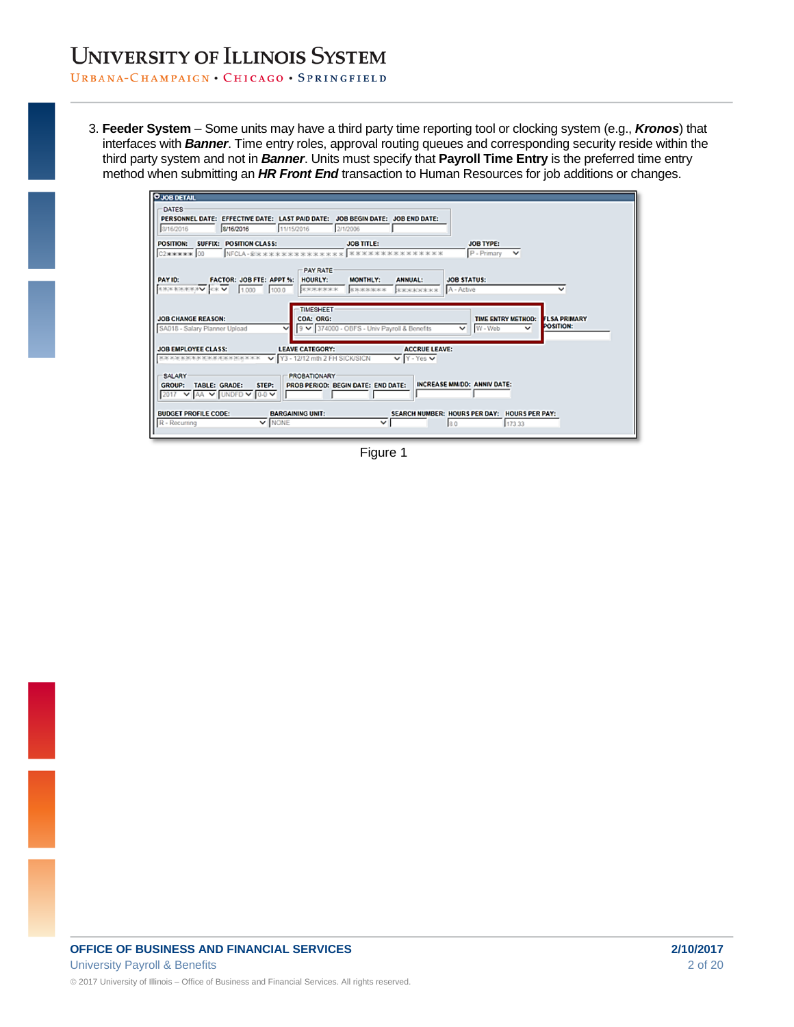#### URBANA-CHAMPAIGN . CHICAGO . SPRINGFIELD

3. **Feeder System** – Some units may have a third party time reporting tool or clocking system (e.g., *Kronos*) that interfaces with *Banner*. Time entry roles, approval routing queues and corresponding security reside within the third party system and not in *Banner*. Units must specify that **Payroll Time Entry** is the preferred time entry method when submitting an *HR Front End* transaction to Human Resources for job additions or changes.

| <b>O JOB DETAIL</b>                                                                                                                                                                                                                                                                                                                                                                                                                                                                                                                             |                                       |
|-------------------------------------------------------------------------------------------------------------------------------------------------------------------------------------------------------------------------------------------------------------------------------------------------------------------------------------------------------------------------------------------------------------------------------------------------------------------------------------------------------------------------------------------------|---------------------------------------|
| DATES<br>PERSONNEL DATE: EFFECTIVE DATE: LAST PAID DATE: JOB BEGIN DATE: JOB END DATE:<br>8/16/2016<br>8/16/2016<br>11/15/2016<br>2/1/2006                                                                                                                                                                                                                                                                                                                                                                                                      |                                       |
| <b>SUFFIX: POSITION CLASS:</b><br><b>JOB TITLE:</b><br><b>POSITION:</b><br><b>JOB TYPE:</b>                                                                                                                                                                                                                                                                                                                                                                                                                                                     |                                       |
| P - Primary<br>NFCLA-@***************<br>****************<br>C2***** 00<br>$\checkmark$<br><b>PAY RATE</b><br>FACTOR: JOB FTE: APPT %: HOURLY:<br>PAY ID:<br><b>MONTHLY:</b><br><b>JOB STATUS:</b><br><b>ANNUAL:</b><br><b>KROKKROUNDER OF</b><br>100.0<br>*******<br>A - Active<br>1.000<br><b>КЖЖЖЖЖЖ</b><br>вжжноских<br><b>TIMESHEET</b><br><b>JOB CHANGE REASON:</b><br><b>COA: ORG:</b><br><b>TIME ENTRY METHOD:</b><br>9 V 374000 - OBFS - Univ Payroll & Benefits<br>W - Web<br>SA018 - Salary Planner Upload<br>v<br>$\checkmark$<br>v | v<br><b>FLSA PRIMARY</b><br>POSITION: |
| <b>JOB EMPLOYEE CLASS:</b><br><b>LEAVE CATEGORY:</b><br><b>ACCRUE LEAVE:</b><br>Y3 - 12/12 mth 2 FH SICK/SICN<br>$\vee$ Y - Yes $\vee$<br><b>KRODERWRW KRWWWWWRIGEKX</b><br>SALARY<br><b>PROBATIONARY</b><br><b>INCREASE MM/DD: ANNIV DATE:</b><br><b>GROUP:</b><br><b>TABLE: GRADE:</b><br>PROB PERIOD: BEGIN DATE: END DATE:<br>STEP:<br>$\triangledown$ AA $\triangledown$ UNDED $\triangledown$ 0-0 $\triangledown$<br>2017                                                                                                                 |                                       |
| <b>BUDGET PROFILE CODE:</b><br><b>BARGAINING UNIT:</b><br>SEARCH NUMBER: HOURS PER DAY: HOURS PER PAY:<br>$\overline{\mathbf{v}}$ NONE<br>R - Recurring<br>$\checkmark$<br>173.33<br>ls o                                                                                                                                                                                                                                                                                                                                                       |                                       |

Figure 1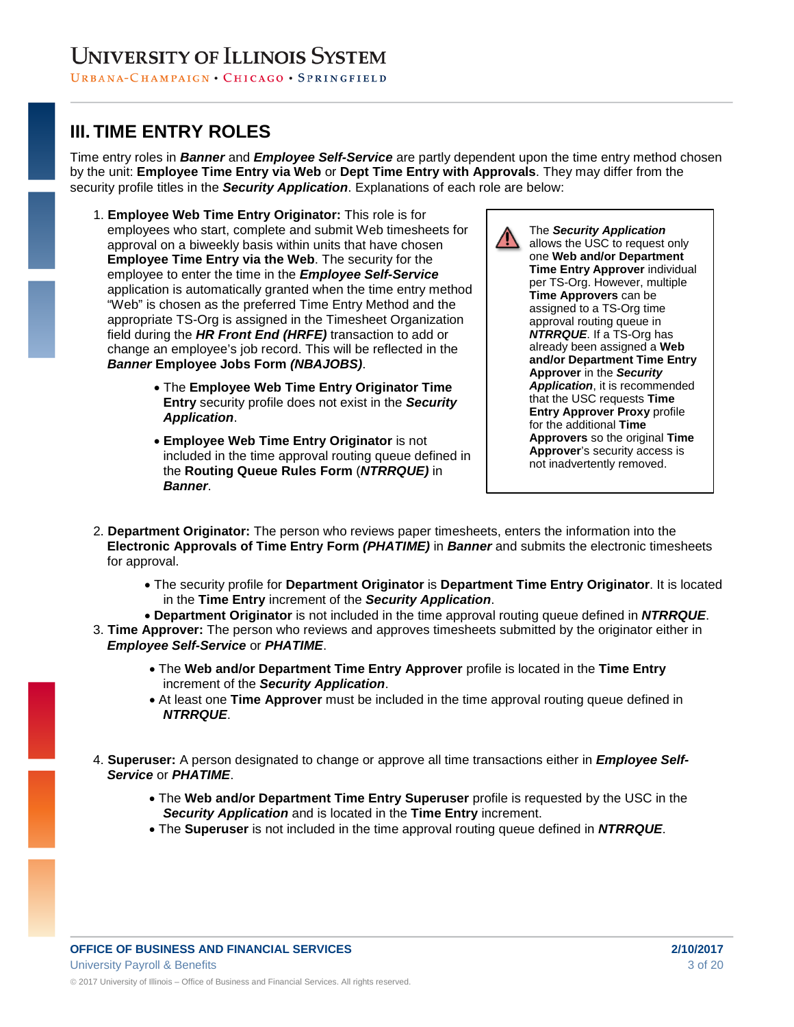### **III. TIME ENTRY ROLES**

Time entry roles in *Banner* and *Employee Self-Service* are partly dependent upon the time entry method chosen by the unit: **Employee Time Entry via Web** or **Dept Time Entry with Approvals**. They may differ from the security profile titles in the *Security Application*. Explanations of each role are below:

- 1. **Employee Web Time Entry Originator:** This role is for employees who start, complete and submit Web timesheets for approval on a biweekly basis within units that have chosen **Employee Time Entry via the Web**. The security for the employee to enter the time in the *Employee Self-Service* application is automatically granted when the time entry method "Web" is chosen as the preferred Time Entry Method and the appropriate TS-Org is assigned in the Timesheet Organization field during the *HR Front End (HRFE)* transaction to add or change an employee's job record. This will be reflected in the *Banner* **Employee Jobs Form** *(NBAJOBS)*.
	- The **Employee Web Time Entry Originator Time Entry** security profile does not exist in the *Security Application*.
	- **Employee Web Time Entry Originator** is not included in the time approval routing queue defined in the **Routing Queue Rules Form** (*NTRRQUE)* in *Banner*.



- 2. **Department Originator:** The person who reviews paper timesheets, enters the information into the **Electronic Approvals of Time Entry Form** *(PHATIME)* in *Banner* and submits the electronic timesheets for approval.
	- The security profile for **Department Originator** is **Department Time Entry Originator**. It is located in the **Time Entry** increment of the *Security Application*.
	- **Department Originator** is not included in the time approval routing queue defined in *NTRRQUE*.
- 3. **Time Approver:** The person who reviews and approves timesheets submitted by the originator either in *Employee Self-Service* or *PHATIME*.
	- The **Web and/or Department Time Entry Approver** profile is located in the **Time Entry** increment of the *Security Application*.
	- At least one **Time Approver** must be included in the time approval routing queue defined in *NTRRQUE*.
- 4. **Superuser:** A person designated to change or approve all time transactions either in *Employee Self-Service* or *PHATIME*.
	- The **Web and/or Department Time Entry Superuser** profile is requested by the USC in the *Security Application* and is located in the **Time Entry** increment.
	- The **Superuser** is not included in the time approval routing queue defined in *NTRRQUE*.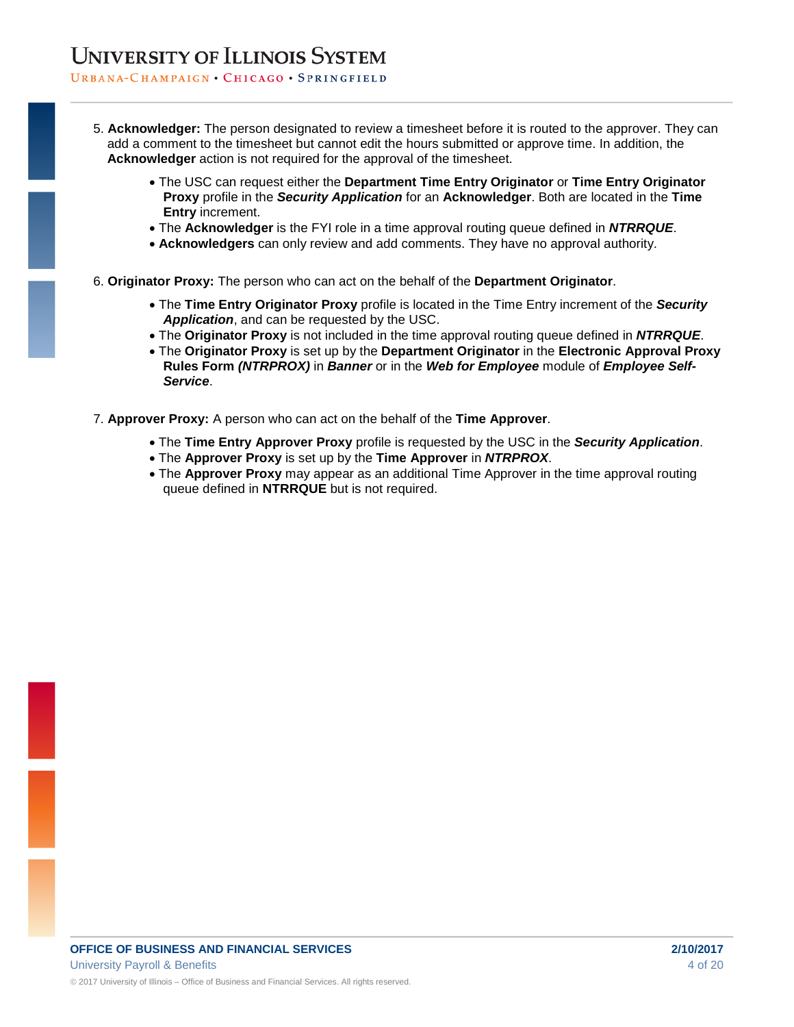#### URBANA-CHAMPAIGN · CHICAGO · SPRINGFIELD

- 5. **Acknowledger:** The person designated to review a timesheet before it is routed to the approver. They can add a comment to the timesheet but cannot edit the hours submitted or approve time. In addition, the **Acknowledger** action is not required for the approval of the timesheet.
	- The USC can request either the **Department Time Entry Originator** or **Time Entry Originator Proxy** profile in the *Security Application* for an **Acknowledger**. Both are located in the **Time Entry** increment.
	- The **Acknowledger** is the FYI role in a time approval routing queue defined in *NTRRQUE*.
	- **Acknowledgers** can only review and add comments. They have no approval authority.
- 6. **Originator Proxy:** The person who can act on the behalf of the **Department Originator**.
	- The **Time Entry Originator Proxy** profile is located in the Time Entry increment of the *Security Application*, and can be requested by the USC.
	- The **Originator Proxy** is not included in the time approval routing queue defined in *NTRRQUE*.
	- The **Originator Proxy** is set up by the **Department Originator** in the **Electronic Approval Proxy Rules Form** *(NTRPROX)* in *Banner* or in the *Web for Employee* module of *Employee Self-Service*.
- 7. **Approver Proxy:** A person who can act on the behalf of the **Time Approver**.
	- The **Time Entry Approver Proxy** profile is requested by the USC in the *Security Application*.
	- The **Approver Proxy** is set up by the **Time Approver** in *NTRPROX*.
	- The **Approver Proxy** may appear as an additional Time Approver in the time approval routing queue defined in **NTRRQUE** but is not required.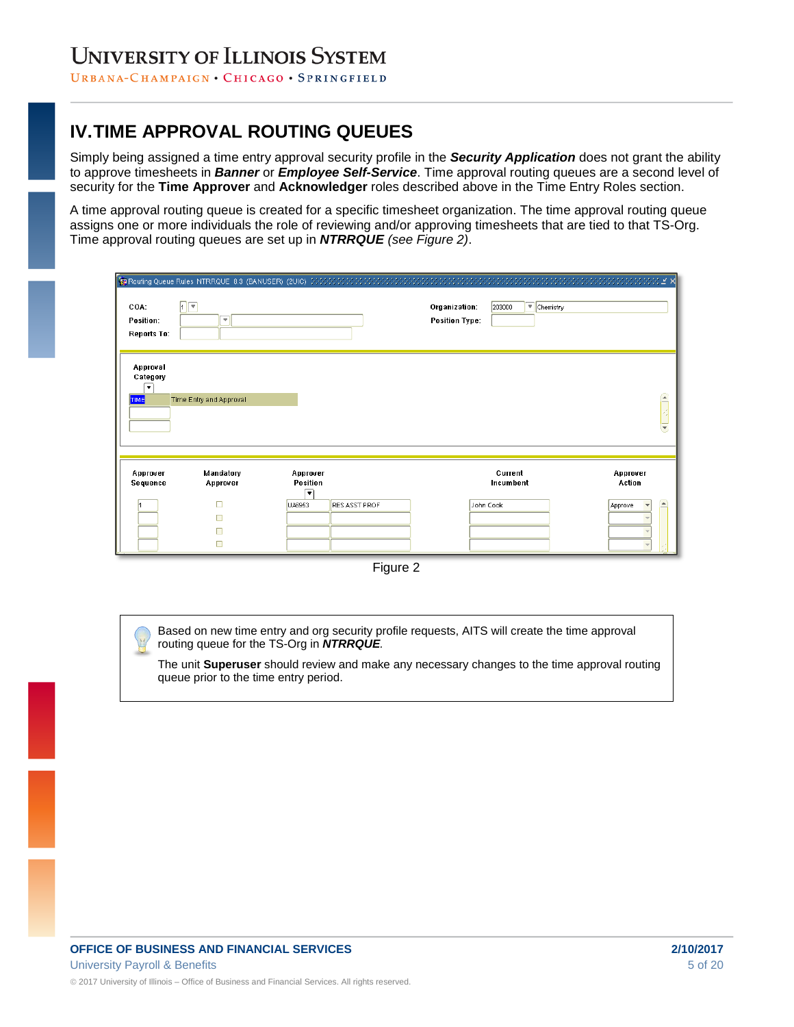URBANA-CHAMPAIGN · CHICAGO · SPRINGFIELD

### **IV.TIME APPROVAL ROUTING QUEUES**

Simply being assigned a time entry approval security profile in the *Security Application* does not grant the ability to approve timesheets in *Banner* or *Employee Self-Service*. Time approval routing queues are a second level of security for the **Time Approver** and **Acknowledger** roles described above in the Time Entry Roles section.

A time approval routing queue is created for a specific timesheet organization. The time approval routing queue assigns one or more individuals the role of reviewing and/or approving timesheets that are tied to that TS-Org. Time approval routing queues are set up in *NTRRQUE (see Figure 2)*.

| COA:<br>Position:<br><b>Reports To:</b>                         | $\sqrt{2}$<br>$\overline{\mathbf{v}}$ |                                                      | Organization:<br><b>Position Type:</b> | $\blacktriangledown$ Chemistry<br>203000 |                                                   |
|-----------------------------------------------------------------|---------------------------------------|------------------------------------------------------|----------------------------------------|------------------------------------------|---------------------------------------------------|
| Approval<br>Category<br>$\overline{\phantom{a}}$<br><b>TIME</b> | Time Entry and Approval               |                                                      |                                        |                                          | ×                                                 |
| Approver<br>Sequence                                            | Mandatory<br>Approver<br>п<br>п<br>П  | Approver<br>Position<br>▼<br>RES ASST PROF<br>UA6953 |                                        | Current<br>Incumbent<br>John Cook        | Approver<br>Action<br>$\blacktriangle$<br>Approve |

Figure 2

Based on new time entry and org security profile requests, AITS will create the time approval routing queue for the TS-Org in *NTRRQUE.*

The unit **Superuser** should review and make any necessary changes to the time approval routing queue prior to the time entry period.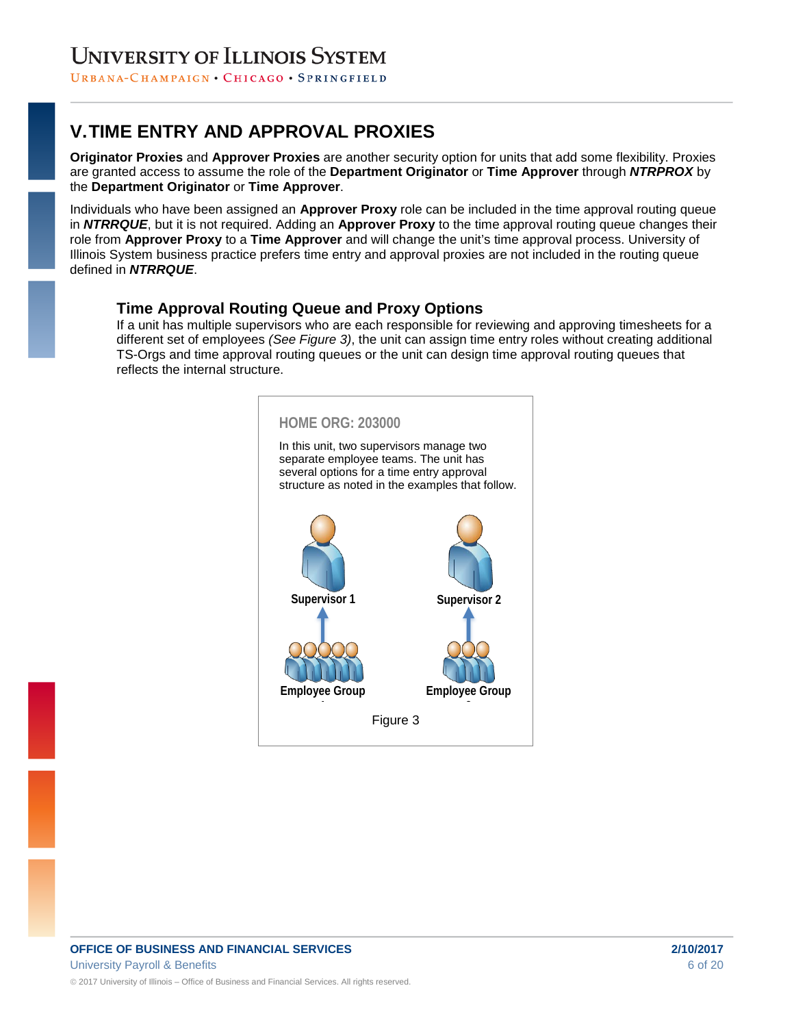URBANA-CHAMPAIGN · CHICAGO · SPRINGFIELD

# **V.TIME ENTRY AND APPROVAL PROXIES**

**Originator Proxies** and **Approver Proxies** are another security option for units that add some flexibility. Proxies are granted access to assume the role of the **Department Originator** or **Time Approver** through *NTRPROX* by the **Department Originator** or **Time Approver**.

Individuals who have been assigned an **Approver Proxy** role can be included in the time approval routing queue in *NTRRQUE*, but it is not required. Adding an **Approver Proxy** to the time approval routing queue changes their role from **Approver Proxy** to a **Time Approver** and will change the unit's time approval process. University of Illinois System business practice prefers time entry and approval proxies are not included in the routing queue defined in *NTRRQUE*.

### **Time Approval Routing Queue and Proxy Options**

If a unit has multiple supervisors who are each responsible for reviewing and approving timesheets for a different set of employees *(See Figure 3)*, the unit can assign time entry roles without creating additional TS-Orgs and time approval routing queues or the unit can design time approval routing queues that reflects the internal structure.

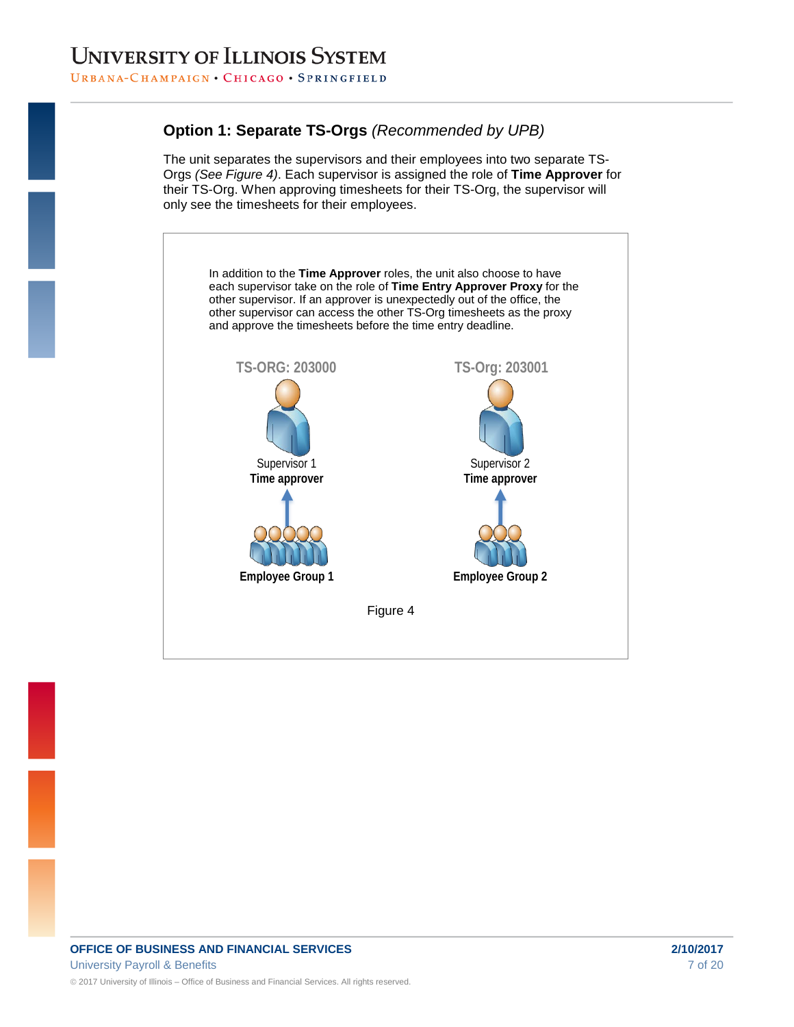### **Option 1: Separate TS-Orgs** *(Recommended by UPB)*

The unit separates the supervisors and their employees into two separate TS-Orgs *(See Figure 4)*. Each supervisor is assigned the role of **Time Approver** for their TS-Org. When approving timesheets for their TS-Org, the supervisor will only see the timesheets for their employees.

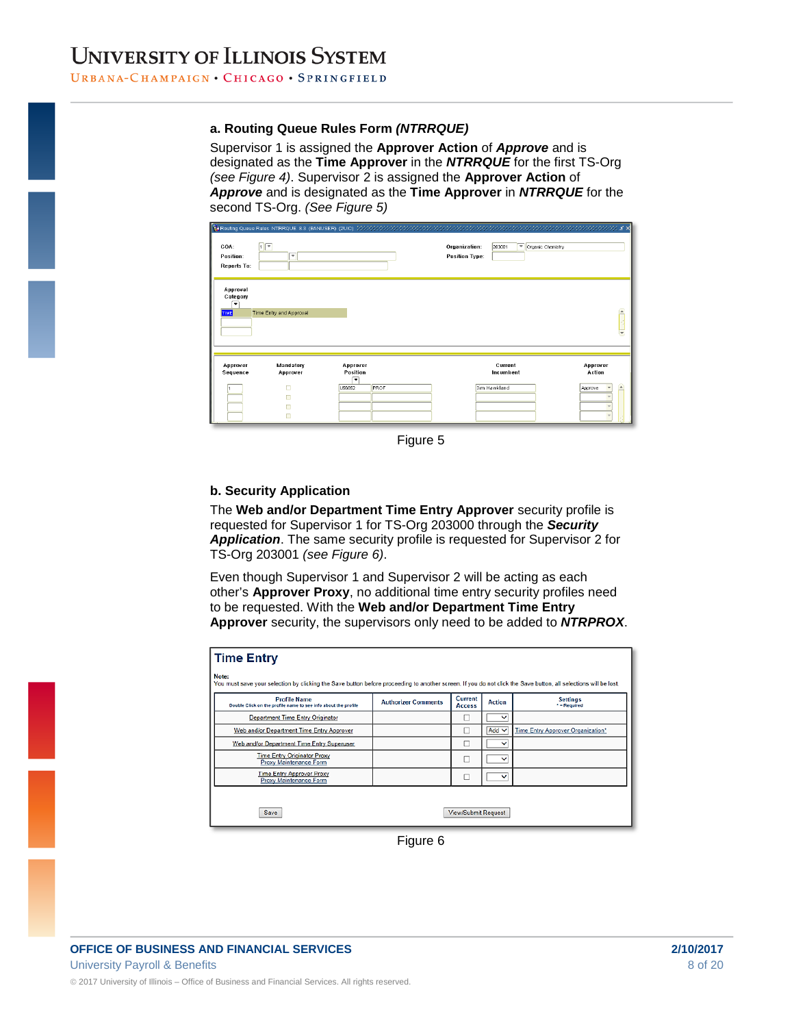Supervisor 1 is assigned the **Approver Action** of *Approve* and is designated as the **Time Approver** in the *NTRRQUE* for the first TS-Org *(see Figure 4)*. Supervisor 2 is assigned the **Approver Action** of *Approve* and is designated as the **Time Approver** in *NTRRQUE* for the second TS-Org. *(See Figure 5)*

| COA:<br>Position:<br><b>Reports To:</b>                         | <b>Transformation of the State State State State State State State Contracts and Contracts and Contracts and Contracts and Contracts and Contracts State State State State State State State State State State State State State</b><br>$\sqrt{2}$<br>$\overline{\mathbf v}$ |                                 | Organization:<br><b>Position Type:</b> | 203001               | $\sqrt{\frac{1}{2}}$ Organic Chemistry |                                                     |
|-----------------------------------------------------------------|------------------------------------------------------------------------------------------------------------------------------------------------------------------------------------------------------------------------------------------------------------------------------|---------------------------------|----------------------------------------|----------------------|----------------------------------------|-----------------------------------------------------|
| Approval<br>Category<br>$\overline{\phantom{a}}$<br><b>TIME</b> | Time Entry and Approval                                                                                                                                                                                                                                                      |                                 |                                        |                      |                                        | $\widehat{\phantom{a}}$<br>$\overline{\phantom{a}}$ |
| Approver<br>Sequence                                            | Mandatory<br>Approver                                                                                                                                                                                                                                                        | Approver<br>Position<br>$\cdot$ |                                        | Current<br>Incumbent |                                        | Approver<br>Action                                  |
|                                                                 | г<br>п                                                                                                                                                                                                                                                                       | PROF<br>U66852                  |                                        | Jim Hawkland         |                                        | $\blacktriangle$<br>Approve                         |

Figure 5

#### **b. Security Application**

The **Web and/or Department Time Entry Approver** security profile is requested for Supervisor 1 for TS-Org 203000 through the *Security Application*. The same security profile is requested for Supervisor 2 for TS-Org 203001 *(see Figure 6)*.

Even though Supervisor 1 and Supervisor 2 will be acting as each other's **Approver Proxy**, no additional time entry security profiles need to be requested. With the **Web and/or Department Time Entry Approver** security, the supervisors only need to be added to *NTRPROX*.

| <b>Time Entry</b>                                                                                                                                                        |                            |                            |               |                                   |  |  |  |
|--------------------------------------------------------------------------------------------------------------------------------------------------------------------------|----------------------------|----------------------------|---------------|-----------------------------------|--|--|--|
| Note:<br>You must save your selection by clicking the Save button before proceeding to another screen. If you do not click the Save button, all selections will be lost. |                            |                            |               |                                   |  |  |  |
| <b>Profile Name</b><br>Double Click on the profile name to see info about the profile                                                                                    | <b>Authorizer Comments</b> | Current<br><b>Access</b>   | <b>Action</b> | <b>Settings</b><br>$" = Required$ |  |  |  |
| <b>Department Time Entry Originator</b>                                                                                                                                  |                            |                            | $\checkmark$  |                                   |  |  |  |
| Web and/or Department Time Entry Approver                                                                                                                                |                            |                            | Add $\vee$    | Time Entry Approver Organization* |  |  |  |
| Web and/or Department Time Entry Superuser                                                                                                                               |                            | ш                          | $\check{ }$   |                                   |  |  |  |
| <b>Time Entry Originator Proxy</b><br>Proxy Maintenance Form                                                                                                             |                            | □                          | $\checkmark$  |                                   |  |  |  |
| <b>Time Entry Approver Proxy</b><br>Proxy Maintenance Form                                                                                                               |                            | п                          | $\check{ }$   |                                   |  |  |  |
|                                                                                                                                                                          |                            |                            |               |                                   |  |  |  |
| Save                                                                                                                                                                     |                            | <b>View/Submit Request</b> |               |                                   |  |  |  |

Figure 6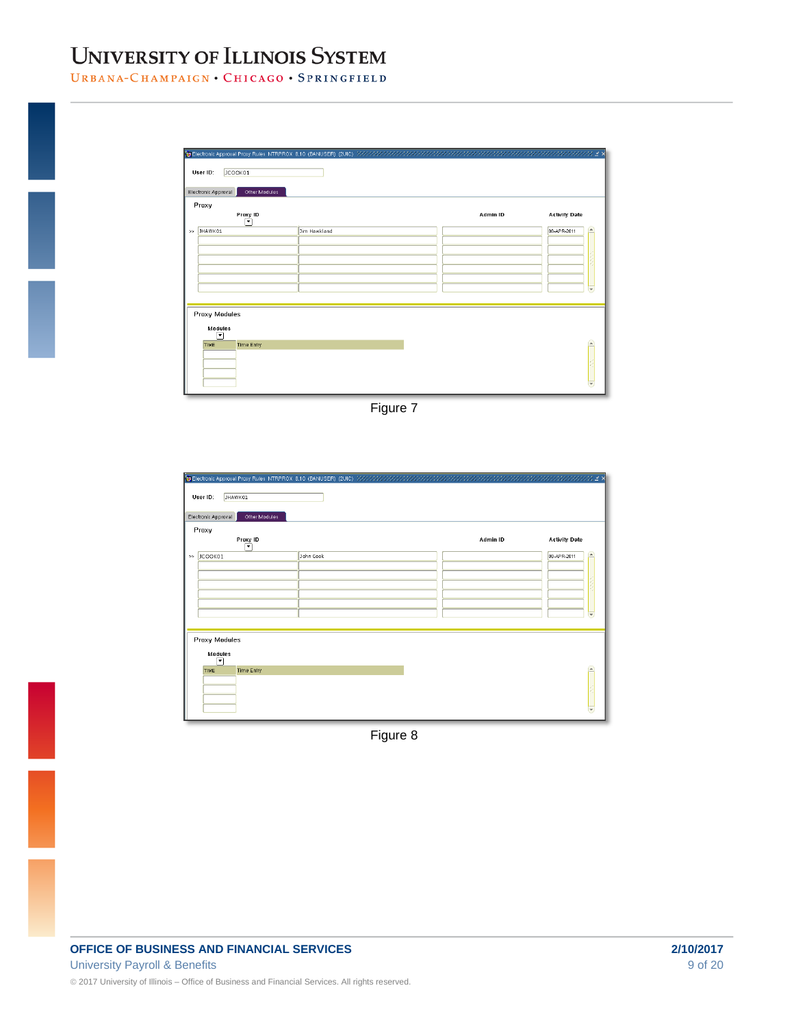URBANA-CHAMPAIGN . CHICAGO . SPRINGFIELD

| Electronic Approval<br>Other Modules |              |          |                      |
|--------------------------------------|--------------|----------|----------------------|
| Proxy<br>Proxy ID<br>▼               |              | Admin ID | <b>Activity Date</b> |
| JHAWK01                              | Jim Hawkland |          | 08-APR-2011          |
|                                      |              |          |                      |
|                                      |              |          |                      |
|                                      |              |          |                      |
|                                      |              |          |                      |
|                                      |              |          |                      |
| <b>Proxy Modules</b>                 |              |          |                      |
| <b>Modules</b>                       |              |          |                      |
| $\overline{\phantom{0}}$             |              |          |                      |
|                                      |              |          |                      |

Figure 7

| User ID:<br>JHAWK01<br>Electronic Approval<br>Other Modules |           |          |                            |
|-------------------------------------------------------------|-----------|----------|----------------------------|
| Proxy<br>Proxy ID                                           |           | Admin ID | <b>Activity Date</b>       |
| ⊡                                                           |           |          |                            |
| >> JCOOK01                                                  | John Cook |          | 08-APR-2011<br>$\triangle$ |
|                                                             |           |          |                            |
|                                                             |           |          |                            |
|                                                             |           |          |                            |
|                                                             |           |          |                            |
|                                                             |           |          |                            |
|                                                             |           |          | $\overline{\phantom{a}}$   |
|                                                             |           |          |                            |
| <b>Proxy Modules</b>                                        |           |          |                            |
| Modules                                                     |           |          |                            |
| $\overline{\phantom{a}}$                                    |           |          |                            |
| <b>Time Entry</b><br><b>TIME</b>                            |           |          |                            |
|                                                             |           |          |                            |
|                                                             |           |          |                            |
|                                                             |           |          |                            |
|                                                             |           |          |                            |

Figure 8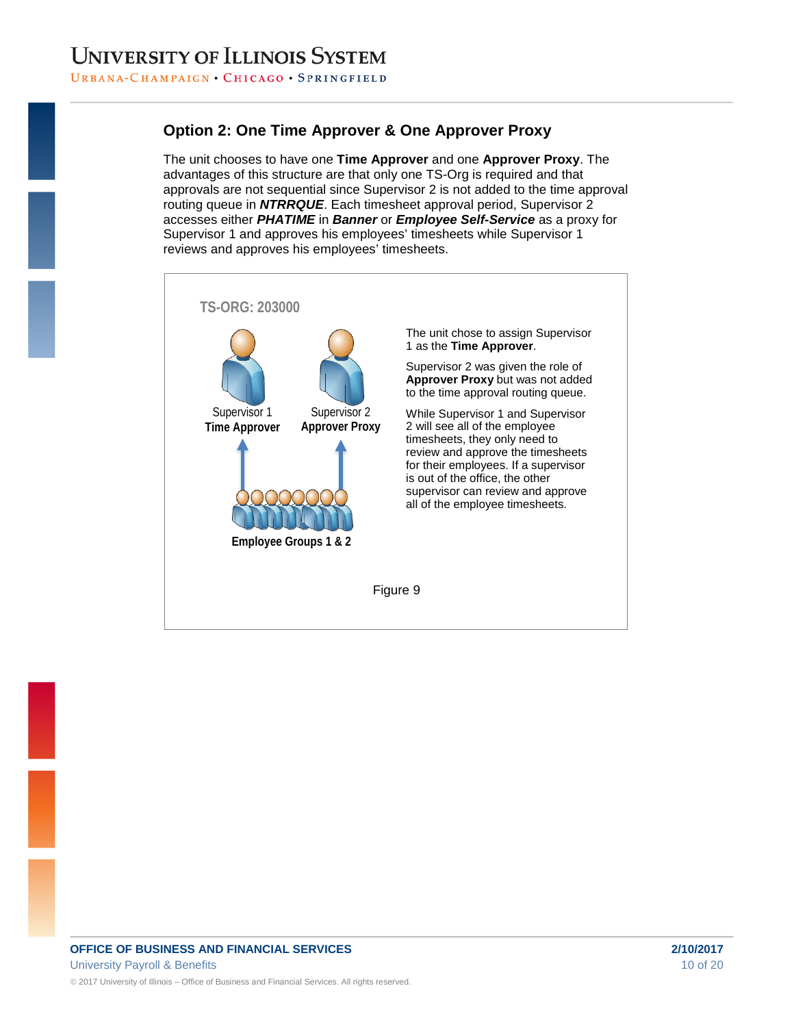### **Option 2: One Time Approver & One Approver Proxy**

The unit chooses to have one **Time Approver** and one **Approver Proxy**. The advantages of this structure are that only one TS-Org is required and that approvals are not sequential since Supervisor 2 is not added to the time approval routing queue in *NTRRQUE*. Each timesheet approval period, Supervisor 2 accesses either *PHATIME* in *Banner* or *Employee Self-Service* as a proxy for Supervisor 1 and approves his employees' timesheets while Supervisor 1 reviews and approves his employees' timesheets.

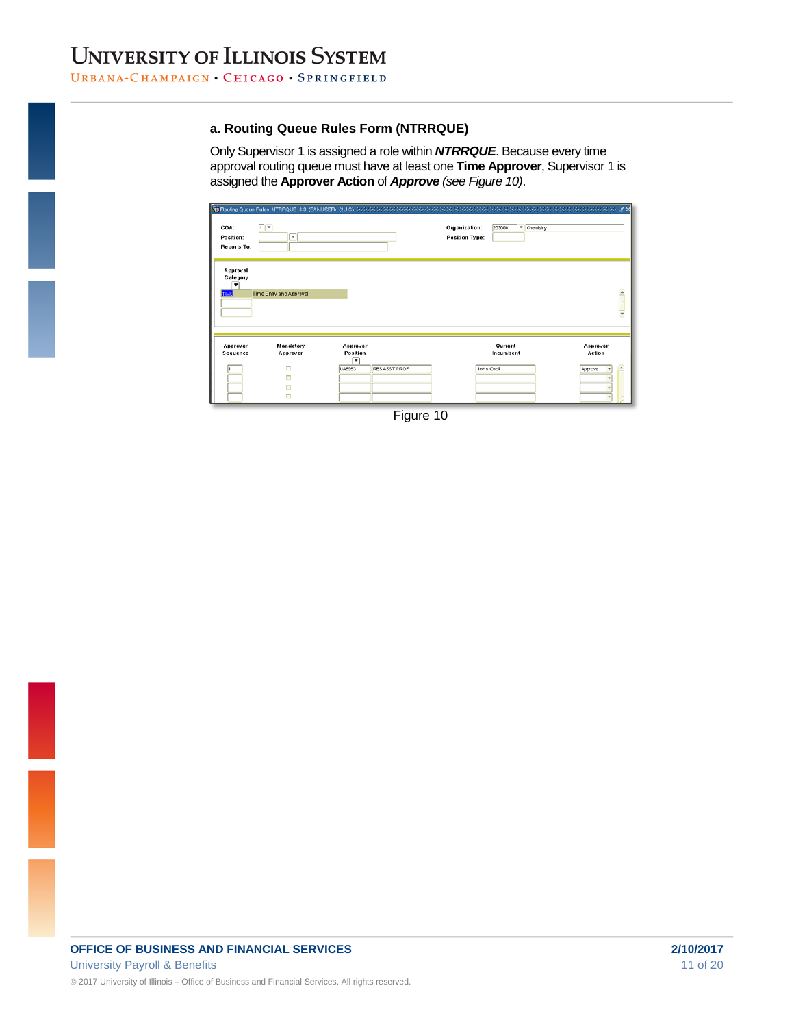Only Supervisor 1 is assigned a role within *NTRRQUE*. Because every time approval routing queue must have at least one **Time Approver**, Supervisor 1 is assigned the **Approver Action** of *Approve (see Figure 10)*.

| COA:<br>Position:<br>Reports To:   | 回<br>٠                                         |                                            |               | Organization:<br><b>Position Type:</b> | 203000<br><sup>v</sup> Chemistry  |                                                   |
|------------------------------------|------------------------------------------------|--------------------------------------------|---------------|----------------------------------------|-----------------------------------|---------------------------------------------------|
| Approval<br>Category<br>▼<br>18.81 | Time Entry and Approval                        |                                            |               |                                        |                                   | £<br>Ξ                                            |
| Approver<br>Sequence               | Mandatory<br>Approver<br>$\Box$<br>п<br>□<br>π | Approver<br>Position<br>۰<br><b>UA6953</b> | RES ASST PROF |                                        | Current<br>Incumbent<br>John Cook | Approver<br>Action<br>$\blacktriangle$<br>Approve |

Figure 10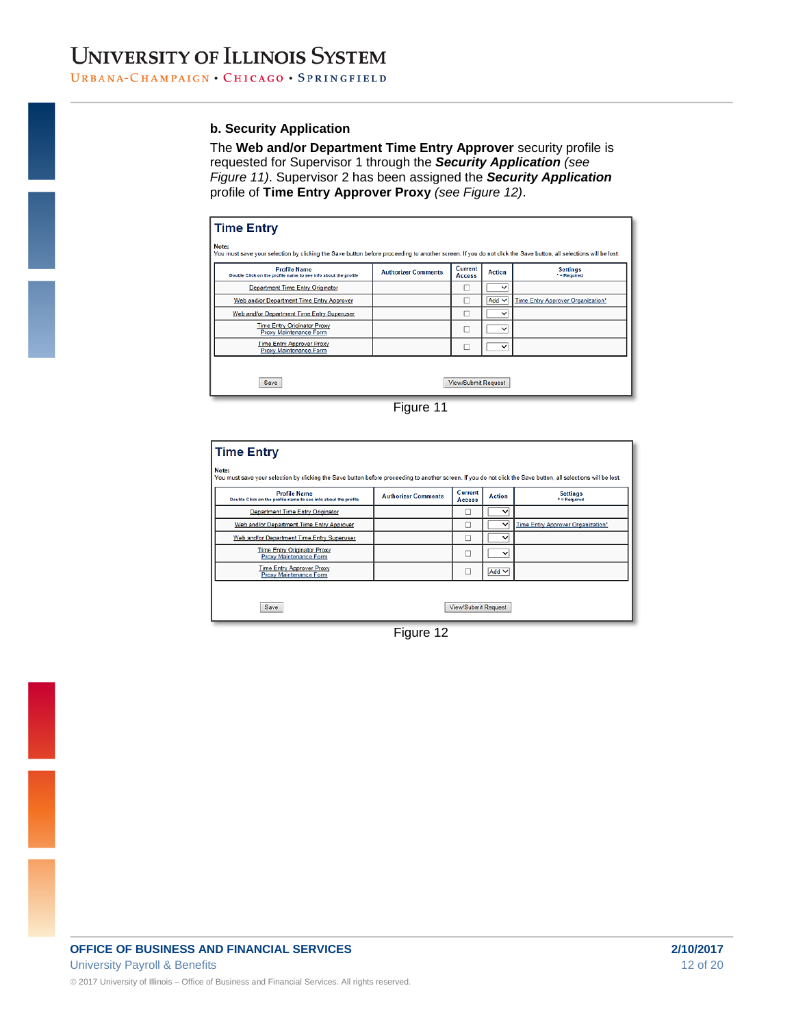#### **b. Security Application**

The **Web and/or Department Time Entry Approver** security profile is requested for Supervisor 1 through the *Security Application (see Figure 11)*. Supervisor 2 has been assigned the *Security Application* profile of **Time Entry Approver Proxy** *(see Figure 12)*.

| <b>Profile Name</b><br>Double Click on the profile name to see info about the profile | <b>Authorizer Comments</b> | Current<br><b>Access</b> | <b>Action</b> | <b>Settings</b><br>$*$ = Required |
|---------------------------------------------------------------------------------------|----------------------------|--------------------------|---------------|-----------------------------------|
| <b>Department Time Entry Originator</b>                                               |                            |                          | $\checkmark$  |                                   |
| Web and/or Department Time Entry Approver                                             |                            |                          | $Add$ $\vee$  | Time Entry Approver Organization* |
| Web and/or Department Time Entry Superuser                                            |                            |                          | $\check{ }$   |                                   |
| <b>Time Entry Originator Proxy</b><br>Proxy Maintenance Form                          |                            |                          | $\check{ }$   |                                   |
| <b>Time Entry Approver Proxy</b><br><b>Proxy Maintenance Form</b>                     |                            |                          | $\check{ }$   |                                   |

Figure 11

| <b>Time Entry</b>                                                                                                                                                        |                            |                            |               |                                   |  |  |  |  |
|--------------------------------------------------------------------------------------------------------------------------------------------------------------------------|----------------------------|----------------------------|---------------|-----------------------------------|--|--|--|--|
| Note:<br>You must save your selection by clicking the Save button before proceeding to another screen. If you do not click the Save button, all selections will be lost. |                            |                            |               |                                   |  |  |  |  |
| <b>Profile Name</b><br>Double Click on the profile name to see info about the profile                                                                                    | <b>Authorizer Comments</b> | Current<br><b>Access</b>   | <b>Action</b> | <b>Settings</b><br>* = Required   |  |  |  |  |
| <b>Department Time Entry Originator</b>                                                                                                                                  |                            | D                          | $\checkmark$  |                                   |  |  |  |  |
| Web and/or Department Time Entry Approver                                                                                                                                |                            |                            | v             | Time Entry Approver Organization* |  |  |  |  |
| Web and/or Department Time Entry Superuser                                                                                                                               |                            | □                          | $\checkmark$  |                                   |  |  |  |  |
| <b>Time Entry Originator Proxy</b><br>Proxy Maintenance Form                                                                                                             |                            | □                          | $\checkmark$  |                                   |  |  |  |  |
| <b>Time Entry Approver Proxy</b><br>Proxy Maintenance Form                                                                                                               |                            | π                          | Add $\vee$    |                                   |  |  |  |  |
|                                                                                                                                                                          |                            |                            |               |                                   |  |  |  |  |
| Save                                                                                                                                                                     |                            | <b>View/Submit Request</b> |               |                                   |  |  |  |  |

Figure 12

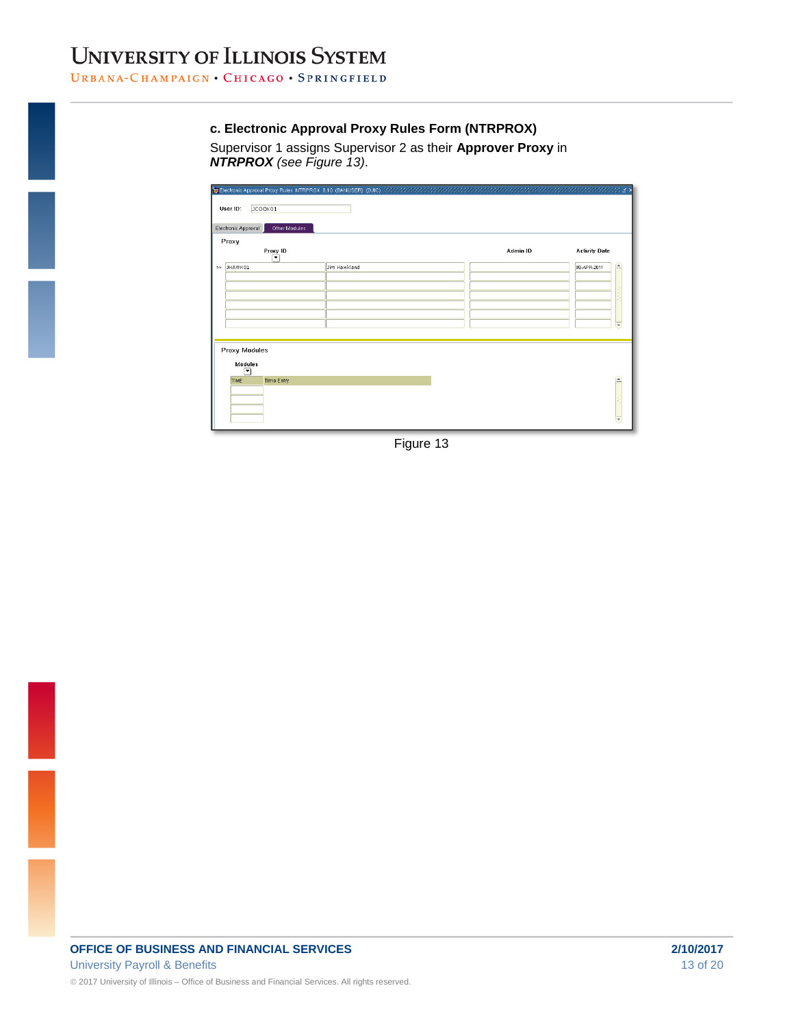#### **c. Electronic Approval Proxy Rules Form (NTRPROX)**

Supervisor 1 assigns Supervisor 2 as their **Approver Proxy** in *NTRPROX (see Figure 13)*.

|     | JCOOK01<br>User ID:<br>Electronic Approval<br>Other Modules |              |          |                      |                       |
|-----|-------------------------------------------------------------|--------------|----------|----------------------|-----------------------|
|     |                                                             |              |          |                      |                       |
|     | Proxy<br>Proxy ID<br>۰                                      |              | Admin ID | <b>Activity Date</b> |                       |
| $>$ | JHAWK01                                                     | Jim Hawkland |          | 08-APR-2011          | $\blacktriangleright$ |
|     |                                                             |              |          |                      |                       |
|     |                                                             |              |          |                      |                       |
|     |                                                             |              |          |                      |                       |
|     |                                                             |              |          |                      |                       |
|     |                                                             |              |          |                      | ≂                     |
|     | <b>Proxy Modules</b><br>Modules                             |              |          |                      |                       |
|     | $\overline{\phantom{a}}$<br><b>Time Entry</b><br>TIME       |              |          |                      | $\square$             |
|     |                                                             |              |          |                      |                       |
|     |                                                             |              |          |                      |                       |
|     |                                                             |              |          |                      |                       |
|     |                                                             |              |          |                      |                       |

Figure 13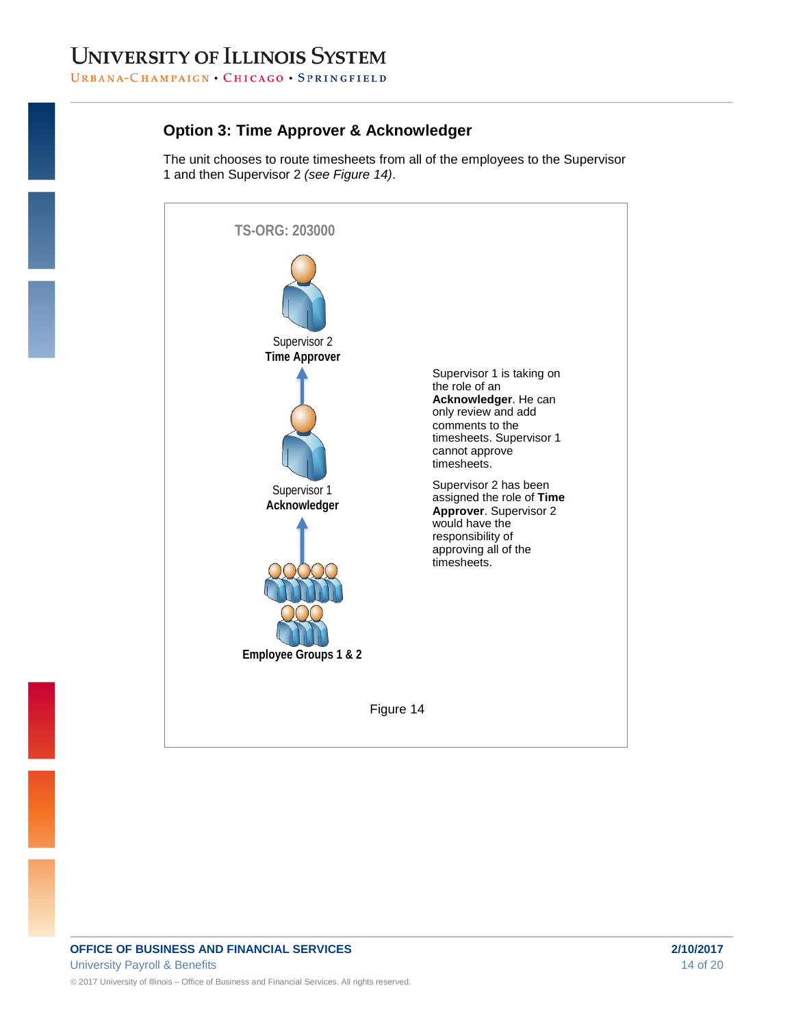### **Option 3: Time Approver & Acknowledger**

The unit chooses to route timesheets from all of the employees to the Supervisor 1 and then Supervisor 2 *(see Figure 14)*.

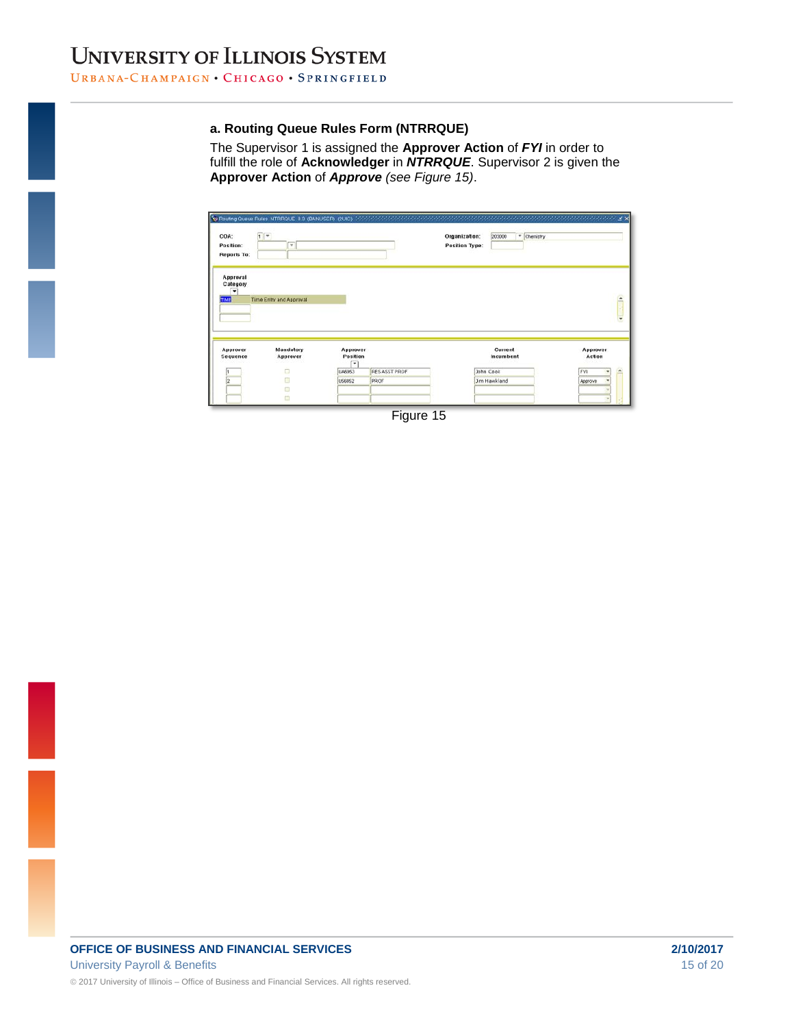The Supervisor 1 is assigned the **Approver Action** of *FYI* in order to fulfill the role of **Acknowledger** in *NTRRQUE*. Supervisor 2 is given the **Approver Action** of *Approve (see Figure 15)*.

| COA:<br>Position:<br>Reports To:                         | $\sqrt{1}$<br>ஈ         |                           | Stu Routing Queue Rules, NTRRQUE, 8.3. (BANUSER), (2UIC), (2010), (2010) (2010) (2010) (2010) (2010) (2010) (2010) (2010) | Organization:<br><b>Position Type:</b> | - Chemistry<br>203000 | <b>RANARANARA E X</b>   |
|----------------------------------------------------------|-------------------------|---------------------------|---------------------------------------------------------------------------------------------------------------------------|----------------------------------------|-----------------------|-------------------------|
| Approval<br>Category<br>$\overline{\phantom{0}}$<br>TIME | Time Entry and Approval |                           |                                                                                                                           |                                        |                       | $\triangle$<br>v        |
| Approver<br>Sequence                                     | Mandatory<br>Approver   | Approver<br>Position<br>٠ |                                                                                                                           |                                        | Current<br>Incumbent  | Approver<br>Action      |
|                                                          | Ò                       | UA6953                    | RES ASST PROF                                                                                                             |                                        | John Cook             | FVI<br>$\blacktriangle$ |
| $\overline{2}$                                           | a                       | US6852                    | PROF                                                                                                                      |                                        | <b>Jim Hawkland</b>   | Approve                 |
|                                                          |                         |                           |                                                                                                                           |                                        |                       |                         |
|                                                          | a<br>m                  |                           |                                                                                                                           |                                        |                       |                         |

Figure 15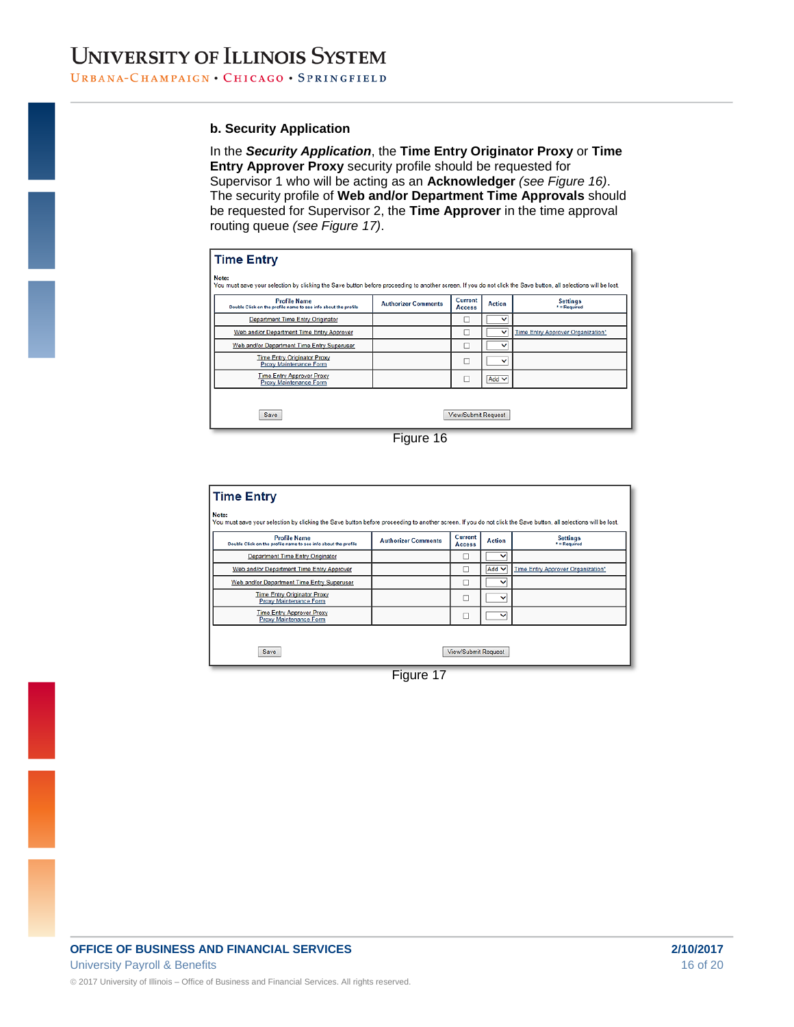#### **b. Security Application**

In the *Security Application*, the **Time Entry Originator Proxy** or **Time Entry Approver Proxy** security profile should be requested for Supervisor 1 who will be acting as an **Acknowledger** *(see Figure 16)*. The security profile of **Web and/or Department Time Approvals** should be requested for Supervisor 2, the **Time Approver** in the time approval routing queue *(see Figure 17)*.

| <b>Time Entry</b>                                                                                                                                                        |                            |                                 |               |                                   |  |  |  |  |
|--------------------------------------------------------------------------------------------------------------------------------------------------------------------------|----------------------------|---------------------------------|---------------|-----------------------------------|--|--|--|--|
| Note:<br>You must save your selection by clicking the Save button before proceeding to another screen. If you do not click the Save button, all selections will be lost. |                            |                                 |               |                                   |  |  |  |  |
| <b>Profile Name</b><br>Double Click on the profile name to see info about the profile                                                                                    | <b>Authorizer Comments</b> | <b>Current</b><br><b>Access</b> | <b>Action</b> | <b>Settings</b><br>* = Required   |  |  |  |  |
| <b>Department Time Entry Originator</b>                                                                                                                                  |                            |                                 | ◡             |                                   |  |  |  |  |
| Web and/or Department Time Entry Approver                                                                                                                                |                            |                                 | $\checkmark$  | Time Entry Approver Organization* |  |  |  |  |
| Web and/or Department Time Entry Superuser                                                                                                                               |                            | с                               | ◡             |                                   |  |  |  |  |
| <b>Time Entry Originator Proxy</b><br>Proxy Maintenance Form                                                                                                             |                            | с                               | ◡             |                                   |  |  |  |  |
| <b>Time Entry Approver Proxy</b><br>Proxy Maintenance Form                                                                                                               |                            | с                               | Add $\vee$    |                                   |  |  |  |  |
|                                                                                                                                                                          |                            |                                 |               |                                   |  |  |  |  |
| <b>View/Submit Request</b><br>Save                                                                                                                                       |                            |                                 |               |                                   |  |  |  |  |



| <b>Time Entry</b>                                                                                                                                                        |                            |                            |               |                                   |  |
|--------------------------------------------------------------------------------------------------------------------------------------------------------------------------|----------------------------|----------------------------|---------------|-----------------------------------|--|
| Note:<br>You must save your selection by clicking the Save button before proceeding to another screen. If you do not click the Save button, all selections will be lost. |                            |                            |               |                                   |  |
| <b>Profile Name</b><br>Double Click on the profile name to see info about the profile                                                                                    | <b>Authorizer Comments</b> | Current<br><b>Access</b>   | <b>Action</b> | <b>Settings</b><br>* = Required   |  |
| <b>Department Time Entry Originator</b>                                                                                                                                  |                            |                            | $\checkmark$  |                                   |  |
| Web and/or Department Time Entry Approver                                                                                                                                |                            |                            | Add V         | Time Entry Approver Organization* |  |
| Web and/or Department Time Entry Superuser                                                                                                                               |                            |                            | $\check{ }$   |                                   |  |
| <b>Time Entry Originator Proxy</b><br><b>Proxy Maintenance Form</b>                                                                                                      |                            |                            | v             |                                   |  |
| <b>Time Entry Approver Proxy</b><br>Proxy Maintenance Form                                                                                                               |                            |                            | $\check{ }$   |                                   |  |
|                                                                                                                                                                          |                            |                            |               |                                   |  |
| Save                                                                                                                                                                     |                            | <b>View/Submit Request</b> |               |                                   |  |

Figure 17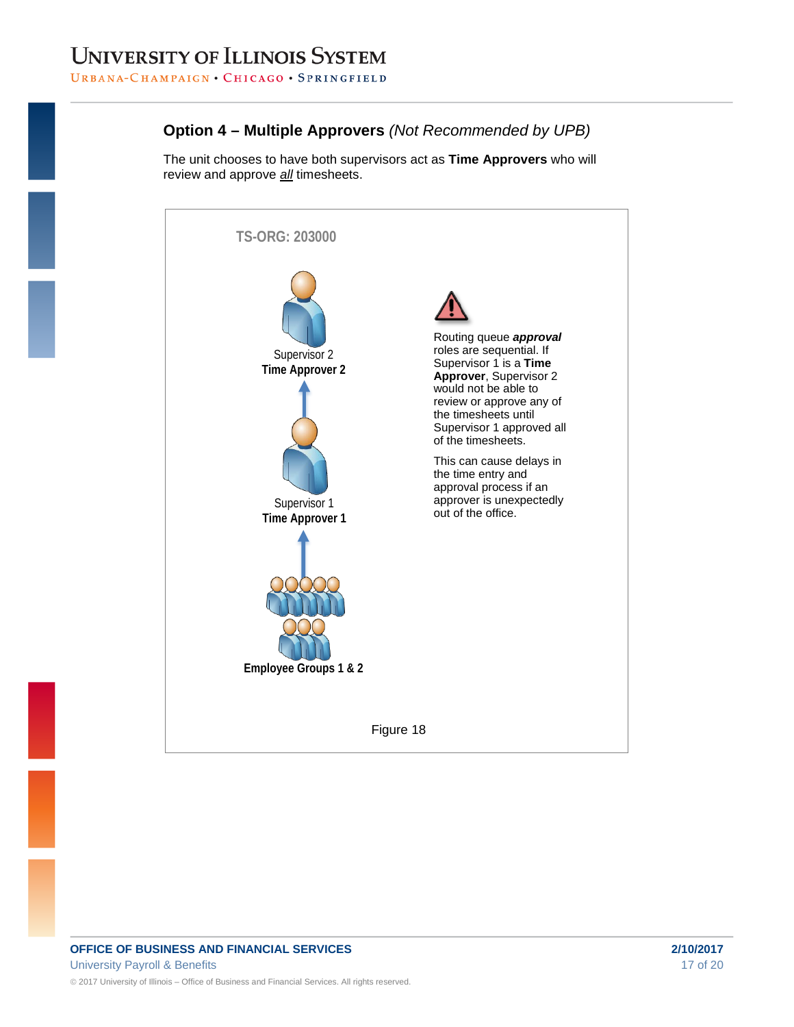### **Option 4 – Multiple Approvers** *(Not Recommended by UPB)*

The unit chooses to have both supervisors act as **Time Approvers** who will review and approve *all* timesheets.

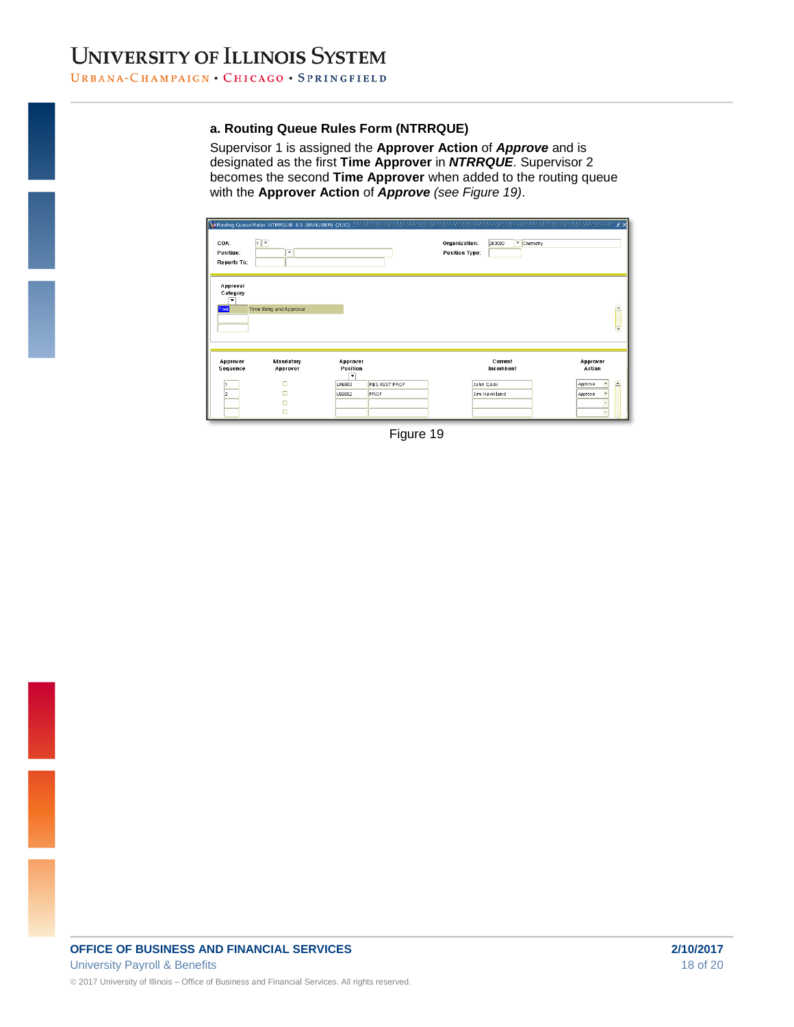Supervisor 1 is assigned the **Approver Action** of *Approve* and is designated as the first **Time Approver** in *NTRRQUE*. Supervisor 2 becomes the second **Time Approver** when added to the routing queue with the **Approver Action** of *Approve (see Figure 19)*.

| COA:<br>Position:<br><b>Reports To:</b>                         | 日回<br>$\overline{\phantom{a}}$  |                                                             |               | Organization:<br>203000<br><b>Position Type:</b>  | $\sqrt{\frac{1}{2}}$ Chemistry                 |
|-----------------------------------------------------------------|---------------------------------|-------------------------------------------------------------|---------------|---------------------------------------------------|------------------------------------------------|
| Approval<br>Category<br>$\overline{\phantom{a}}$<br><b>TIME</b> | Time Entry and Approval         |                                                             |               |                                                   | `<br>$\overline{\phantom{a}}$                  |
| Approver<br>Sequence<br>12                                      | Mandatory<br>Approver<br>п<br>п | Approver<br>Position<br>$\cdot$<br>UA6953<br>PROF<br>U56852 | RES ASST PROF | Current<br>Incumbent<br>John Cook<br>Jim Hawkland | Approver<br>Action<br>i.<br>Approve<br>Approve |

Figure 19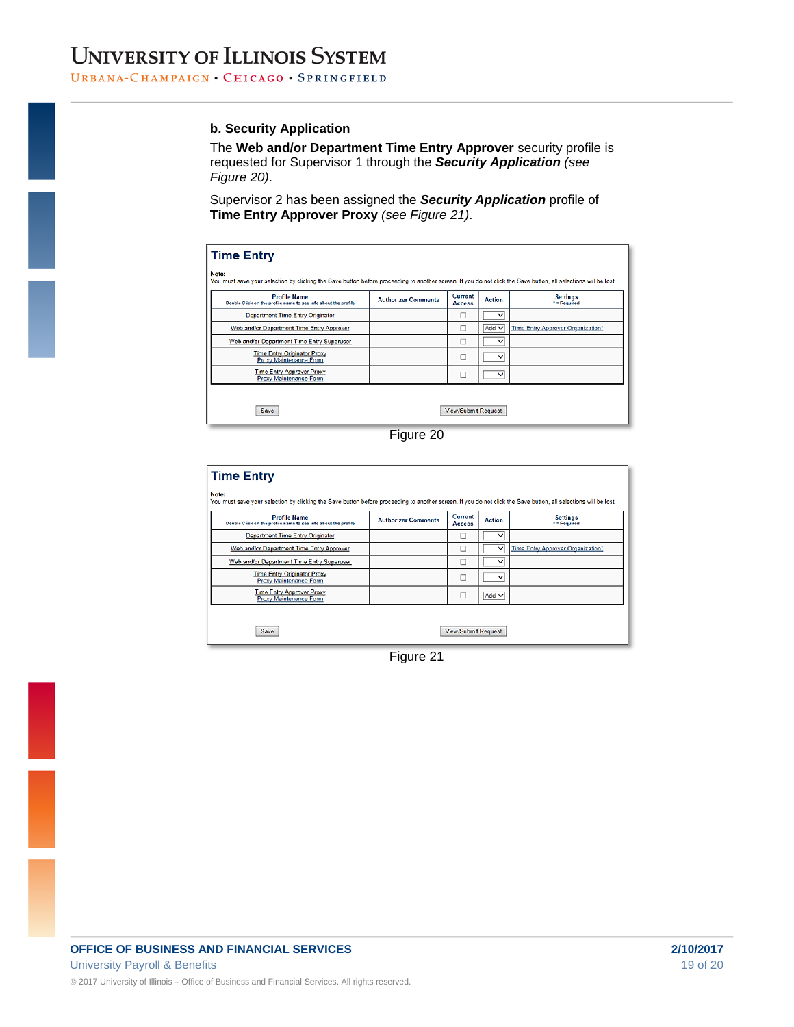#### **b. Security Application**

The **Web and/or Department Time Entry Approver** security profile is requested for Supervisor 1 through the *Security Application (see Figure 20)*.

Supervisor 2 has been assigned the *Security Application* profile of **Time Entry Approver Proxy** *(see Figure 21)*.

| <b>Time Entry</b>                                                                                                                                                        |                            |                            |               |                                   |  |
|--------------------------------------------------------------------------------------------------------------------------------------------------------------------------|----------------------------|----------------------------|---------------|-----------------------------------|--|
| Note:<br>You must save your selection by clicking the Save button before proceeding to another screen. If you do not click the Save button, all selections will be lost. |                            |                            |               |                                   |  |
| <b>Profile Name</b><br>Double Click on the profile name to see info about the profile                                                                                    | <b>Authorizer Comments</b> | Current<br><b>Access</b>   | <b>Action</b> | <b>Settings</b><br>* = Required   |  |
| <b>Department Time Entry Originator</b>                                                                                                                                  |                            |                            | $\checkmark$  |                                   |  |
| Web and/or Department Time Entry Approver                                                                                                                                |                            |                            | Add $\vee$    | Time Entry Approver Organization* |  |
| Web and/or Department Time Entry Superuser                                                                                                                               |                            | □                          | v             |                                   |  |
| <b>Time Entry Originator Proxy</b><br>Proxy Maintenance Form                                                                                                             |                            |                            | $\check{ }$   |                                   |  |
| <b>Time Entry Approver Proxy</b><br>Proxy Maintenance Form                                                                                                               |                            |                            | $\check{ }$   |                                   |  |
|                                                                                                                                                                          |                            |                            |               |                                   |  |
| Save                                                                                                                                                                     |                            | <b>View/Submit Request</b> |               |                                   |  |



| <b>Profile Name</b><br>Double Click on the profile name to see info about the profile | <b>Authorizer Comments</b> | Current<br><b>Access</b> | <b>Action</b> | <b>Settings</b><br>* = Required   |
|---------------------------------------------------------------------------------------|----------------------------|--------------------------|---------------|-----------------------------------|
| <b>Department Time Entry Originator</b>                                               |                            |                          | $\check{ }$   |                                   |
| Web and/or Department Time Entry Approver                                             |                            |                          | $\checkmark$  | Time Entry Approver Organization* |
| Web and/or Department Time Entry Superuser                                            |                            | □                        | $\check{ }$   |                                   |
| <b>Time Entry Originator Proxy</b><br>Proxy Maintenance Form                          |                            | □                        | $\checkmark$  |                                   |
| <b>Time Entry Approver Proxy</b><br><b>Proxy Maintenance Form</b>                     |                            | ⊏                        | Add $\vee$    |                                   |

Figure 21